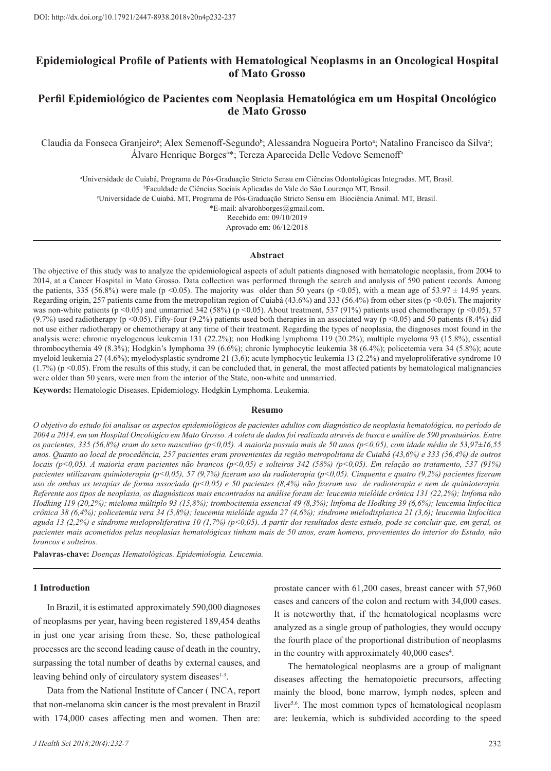## **Epidemiological Profile of Patients with Hematological Neoplasms in an Oncological Hospital of Mato Grosso**

# **Perfil Epidemiológico de Pacientes com Neoplasia Hematológica em um Hospital Oncológico de Mato Grosso**

Claudia da Fonseca Granjeiroª; Alex Semenoff-Segundo<sup>b</sup>; Alessandra Nogueira Portoª; Natalino Francisco da Silva<sup>c</sup>; Álvaro Henrique Borges<sup>a\*</sup>; Tereza Aparecida Delle Vedove Semenoff<sup>a</sup>

a Universidade de Cuiabá, Programa de Pós-Graduação Stricto Sensu em Ciências Odontológicas Integradas. MT, Brasil. b Faculdade de Ciências Sociais Aplicadas do Vale do São Lourenço MT, Brasil. c Universidade de Cuiabá. MT, Programa de Pós-Graduação Stricto Sensu em Biociência Animal. MT, Brasil. \*E-mail: alvarohborges@gmail.com. Recebido em: 09/10/2019 Aprovado em: 06/12/2018

#### **Abstract**

The objective of this study was to analyze the epidemiological aspects of adult patients diagnosed with hematologic neoplasia, from 2004 to 2014, at a Cancer Hospital in Mato Grosso. Data collection was performed through the search and analysis of 590 patient records. Among the patients, 335 (56.8%) were male (p <0.05). The majority was older than 50 years (p <0.05), with a mean age of 53.97  $\pm$  14.95 years. Regarding origin, 257 patients came from the metropolitan region of Cuiabá (43.6%) and 333 (56.4%) from other sites (p <0.05). The majority was non-white patients (p <0.05) and unmarried 342 (58%) (p <0.05). About treatment, 537 (91%) patients used chemotherapy (p <0.05), 57 (9.7%) used radiotherapy (p <0.05). Fifty-four (9.2%) patients used both therapies in an associated way (p <0.05) and 50 patients (8.4%) did not use either radiotherapy or chemotherapy at any time of their treatment. Regarding the types of neoplasia, the diagnoses most found in the analysis were: chronic myelogenous leukemia 131 (22.2%); non Hodking lymphoma 119 (20.2%); multiple myeloma 93 (15.8%); essential thrombocythemia 49 (8.3%); Hodgkin's lymphoma 39 (6.6%); chronic lymphocytic leukemia 38 (6.4%); policetemia vera 34 (5.8%); acute myeloid leukemia 27 (4.6%); myelodysplastic syndrome 21 (3,6); acute lymphocytic leukemia 13 (2.2%) and myeloproliferative syndrome 10  $(1.7%)$  (p <0.05). From the results of this study, it can be concluded that, in general, the most affected patients by hematological malignancies were older than 50 years, were men from the interior of the State, non-white and unmarried.

**Keywords:** Hematologic Diseases. Epidemiology. Hodgkin Lymphoma. Leukemia.

#### **Resumo**

*O objetivo do estudo foi analisar os aspectos epidemiológicos de pacientes adultos com diagnóstico de neoplasia hematológica, no período de 2004 a 2014, em um Hospital Oncológico em Mato Grosso. A coleta de dados foi realizada através de busca e análise de 590 prontuários. Entre os pacientes, 335 (56,8%) eram do sexo masculino (p<0,05). A maioria possuía mais de 50 anos (p<0,05), com idade média de 53,97±16,55 anos. Quanto ao local de procedência, 257 pacientes eram provenientes da região metropolitana de Cuiabá (43,6%) e 333 (56,4%) de outros locais (p<0,05). A maioria eram pacientes não brancos (p<0,05) e solteiros 342 (58%) (p<0,05). Em relação ao tratamento, 537 (91%) pacientes utilizavam quimioterapia (p<0,05), 57 (9,7%) fizeram uso da radioterapia (p<0,05). Cinquenta e quatro (9,2%) pacientes fizeram uso de ambas as terapias de forma associada (p<0,05) e 50 pacientes (8,4%) não fizeram uso de radioterapia e nem de quimioterapia. Referente aos tipos de neoplasia, os diagnósticos mais encontrados na análise foram de: leucemia mielóide crônica 131 (22,2%); linfoma não Hodking 119 (20,2%); mieloma múltiplo 93 (15,8%); trombocitemia essencial 49 (8,3%); linfoma de Hodking 39 (6,6%); leucemia linfocítica crônica 38 (6,4%); policetemia vera 34 (5,8%); leucemia mielóide aguda 27 (4,6%); síndrome mielodisplasica 21 (3,6); leucemia linfocítica aguda 13 (2,2%) e síndrome mieloproliferativa 10 (1,7%) (p<0,05). A partir dos resultados deste estudo, pode-se concluir que, em geral, os pacientes mais acometidos pelas neoplasias hematológicas tinham mais de 50 anos, eram homens, provenientes do interior do Estado, não brancos e solteiros.* 

**Palavras-chave:** *Doenças Hematológicas. Epidemiologia. Leucemia.*

#### **1 Introduction**

In Brazil, it is estimated approximately 590,000 diagnoses of neoplasms per year, having been registered 189,454 deaths in just one year arising from these. So, these pathological processes are the second leading cause of death in the country, surpassing the total number of deaths by external causes, and leaving behind only of circulatory system diseases<sup>1-3</sup>.

Data from the National Institute of Cancer ( INCA, report that non-melanoma skin cancer is the most prevalent in Brazil with 174,000 cases affecting men and women. Then are:

prostate cancer with 61,200 cases, breast cancer with 57,960 cases and cancers of the colon and rectum with 34,000 cases. It is noteworthy that, if the hematological neoplasms were analyzed as a single group of pathologies, they would occupy the fourth place of the proportional distribution of neoplasms in the country with approximately 40,000 cases<sup>4</sup>.

The hematological neoplasms are a group of malignant diseases affecting the hematopoietic precursors, affecting mainly the blood, bone marrow, lymph nodes, spleen and liver<sup>5.6</sup>. The most common types of hematological neoplasm are: leukemia, which is subdivided according to the speed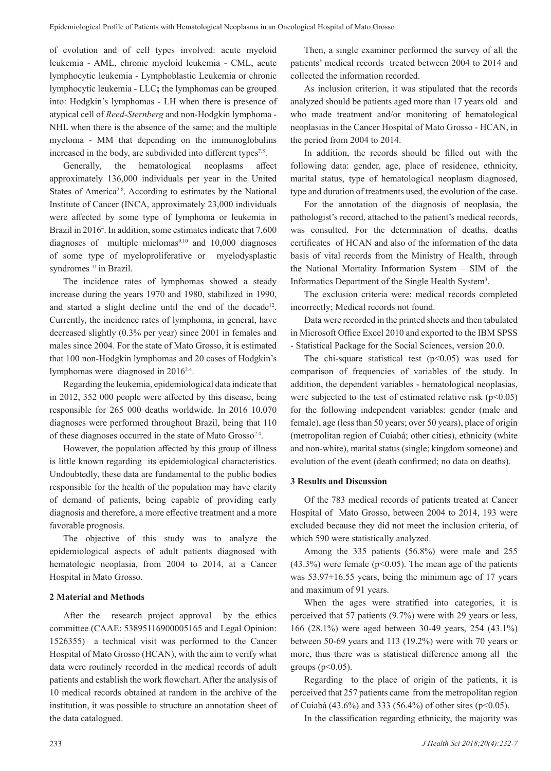of evolution and of cell types involved: acute myeloid leukemia - AML, chronic myeloid leukemia - CML, acute lymphocytic leukemia - Lymphoblastic Leukemia or chronic lymphocytic leukemia - LLC**;** the lymphomas can be grouped into: Hodgkin's lymphomas - LH when there is presence of atypical cell of *Reed*-*Sternberg* and non-Hodgkin lymphoma - NHL when there is the absence of the same; and the multiple myeloma - MM that depending on the immunoglobulins increased in the body, are subdivided into different types<sup>7.8</sup>.

Generally, the hematological neoplasms affect approximately 136,000 individuals per year in the United States of America<sup>2.8</sup>. According to estimates by the National Institute of Cancer (INCA, approximately 23,000 individuals were affected by some type of lymphoma or leukemia in Brazil in 20164 . In addition, some estimates indicate that 7,600 diagnoses of multiple mielomas $9.10$  and 10,000 diagnoses of some type of myeloproliferative or myelodysplastic syndromes<sup>11</sup> in Brazil.

The incidence rates of lymphomas showed a steady increase during the years 1970 and 1980, stabilized in 1990, and started a slight decline until the end of the decade<sup>12</sup>. Currently, the incidence rates of lymphoma, in general, have decreased slightly (0.3% per year) since 2001 in females and males since 2004. For the state of Mato Grosso, it is estimated that 100 non-Hodgkin lymphomas and 20 cases of Hodgkin's lymphomas were diagnosed in 20162.4.

Regarding the leukemia, epidemiological data indicate that in 2012, 352 000 people were affected by this disease, being responsible for 265 000 deaths worldwide. In 2016 10,070 diagnoses were performed throughout Brazil, being that 110 of these diagnoses occurred in the state of Mato Grosso<sup>2.4</sup>.

However, the population affected by this group of illness is little known regarding its epidemiological characteristics. Undoubtedly, these data are fundamental to the public bodies responsible for the health of the population may have clarity of demand of patients, being capable of providing early diagnosis and therefore, a more effective treatment and a more favorable prognosis.

The objective of this study was to analyze the epidemiological aspects of adult patients diagnosed with hematologic neoplasia, from 2004 to 2014, at a Cancer Hospital in Mato Grosso.

### **2 Material and Methods**

After the research project approval by the ethics committee (CAAE: 53895116900005165 and Legal Opinion: 1526355) a technical visit was performed to the Cancer Hospital of Mato Grosso (HCAN), with the aim to verify what data were routinely recorded in the medical records of adult patients and establish the work flowchart. After the analysis of 10 medical records obtained at random in the archive of the institution, it was possible to structure an annotation sheet of the data catalogued.

Then, a single examiner performed the survey of all the patients' medical records treated between 2004 to 2014 and collected the information recorded.

As inclusion criterion, it was stipulated that the records analyzed should be patients aged more than 17 years old and who made treatment and/or monitoring of hematological neoplasias in the Cancer Hospital of Mato Grosso - HCAN, in the period from 2004 to 2014.

In addition, the records should be filled out with the following data: gender, age, place of residence, ethnicity, marital status, type of hematological neoplasm diagnosed, type and duration of treatments used, the evolution of the case.

For the annotation of the diagnosis of neoplasia, the pathologist's record, attached to the patient's medical records, was consulted. For the determination of deaths, deaths certificates of HCAN and also of the information of the data basis of vital records from the Ministry of Health, through the National Mortality Information System – SIM of the Informatics Department of the Single Health System<sup>3</sup>.

The exclusion criteria were: medical records completed incorrectly; Medical records not found.

Data were recorded in the printed sheets and then tabulated in Microsoft Office Excel 2010 and exported to the IBM SPSS - Statistical Package for the Social Sciences, version 20.0.

The chi-square statistical test  $(p<0.05)$  was used for comparison of frequencies of variables of the study. In addition, the dependent variables - hematological neoplasias, were subjected to the test of estimated relative risk  $(p<0.05)$ for the following independent variables: gender (male and female), age (less than 50 years; over 50 years), place of origin (metropolitan region of Cuiabá; other cities), ethnicity (white and non-white), marital status (single; kingdom someone) and evolution of the event (death confirmed; no data on deaths).

### **3 Results and Discussion**

Of the 783 medical records of patients treated at Cancer Hospital of Mato Grosso, between 2004 to 2014, 193 were excluded because they did not meet the inclusion criteria, of which 590 were statistically analyzed.

Among the 335 patients (56.8%) were male and 255  $(43.3\%)$  were female ( $p<0.05$ ). The mean age of the patients was 53.97±16.55 years, being the minimum age of 17 years and maximum of 91 years.

When the ages were stratified into categories, it is perceived that 57 patients (9.7%) were with 29 years or less, 166 (28.1%) were aged between 30-49 years, 254 (43.1%) between 50-69 years and 113 (19.2%) were with 70 years or more, thus there was is statistical difference among all the groups ( $p<0.05$ ).

Regarding to the place of origin of the patients, it is perceived that 257 patients came from the metropolitan region of Cuiabá (43.6%) and 333 (56.4%) of other sites ( $p$ <0.05).

In the classification regarding ethnicity, the majority was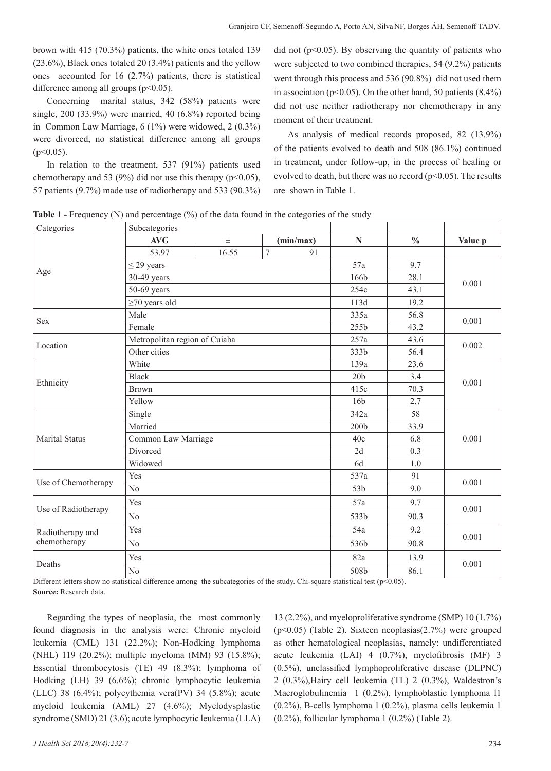brown with 415 (70.3%) patients, the white ones totaled 139 (23.6%), Black ones totaled 20 (3.4%) patients and the yellow ones accounted for 16 (2.7%) patients, there is statistical difference among all groups  $(p<0.05)$ .

Concerning marital status, 342 (58%) patients were single, 200 (33.9%) were married, 40 (6.8%) reported being in Common Law Marriage, 6 (1%) were widowed, 2 (0.3%) were divorced, no statistical difference among all groups  $(p<0.05)$ .

In relation to the treatment, 537 (91%) patients used chemotherapy and 53 (9%) did not use this therapy ( $p<0.05$ ), 57 patients (9.7%) made use of radiotherapy and 533 (90.3%)

did not ( $p<0.05$ ). By observing the quantity of patients who were subjected to two combined therapies, 54 (9.2%) patients went through this process and 536 (90.8%) did not used them in association ( $p<0.05$ ). On the other hand, 50 patients (8.4%) did not use neither radiotherapy nor chemotherapy in any moment of their treatment.

As analysis of medical records proposed, 82 (13.9%) of the patients evolved to death and 508 (86.1%) continued in treatment, under follow-up, in the process of healing or evolved to death, but there was no record  $(p<0.05)$ . The results are shown in Table 1.

**Table 1 -** Frequency (N) and percentage (%) of the data found in the categories of the study

| Categories                       | Subcategories                                 |          |                |                 |                      |               |         |  |  |
|----------------------------------|-----------------------------------------------|----------|----------------|-----------------|----------------------|---------------|---------|--|--|
|                                  | AVG                                           | $_{\pm}$ |                | (min/max)       | $\mathbf N$          | $\frac{0}{0}$ | Value p |  |  |
| Age                              | 53.97                                         | 16.55    | $\overline{7}$ | 91              |                      |               |         |  |  |
|                                  | $\leq$ 29 years                               |          |                |                 |                      | 9.7           | 0.001   |  |  |
|                                  | 30-49 years                                   |          |                |                 | 166b                 | 28.1          |         |  |  |
|                                  | 50-69 years                                   |          |                |                 | 254c                 | 43.1          |         |  |  |
|                                  | $\geq$ 70 years old                           |          |                |                 | 113d                 | 19.2          |         |  |  |
| <b>Sex</b>                       | Male                                          |          |                | 335a            | 56.8                 | 0.001         |         |  |  |
|                                  | Female                                        |          |                |                 | 255b                 |               | 43.2    |  |  |
| Location                         | Metropolitan region of Cuiaba<br>Other cities |          |                | 257a            | 43.6                 | 0.002         |         |  |  |
|                                  |                                               |          |                | 333b            | 56.4                 |               |         |  |  |
| Ethnicity                        | White                                         |          |                |                 | 139a                 | 23.6          |         |  |  |
|                                  | <b>Black</b>                                  |          |                |                 | 20 <sub>b</sub>      | 3.4           | 0.001   |  |  |
|                                  | <b>Brown</b>                                  |          | 70.3<br>415c   |                 |                      |               |         |  |  |
|                                  | Yellow                                        |          |                |                 | 16 <sub>b</sub>      | 2.7           |         |  |  |
|                                  | Single                                        | 342a     |                |                 |                      | 58            | 0.001   |  |  |
|                                  | Married                                       |          |                |                 | 200 <sub>b</sub>     | 33.9          |         |  |  |
| <b>Marital Status</b>            | Common Law Marriage                           |          |                | 40c             | 6.8                  |               |         |  |  |
|                                  | Divorced                                      |          |                | 2d              | 0.3                  |               |         |  |  |
|                                  | Widowed                                       |          |                |                 | 6d                   | 1.0           |         |  |  |
| Use of Chemotherapy              | Yes<br>N <sub>o</sub>                         |          |                | 537a            | 91                   | 0.001         |         |  |  |
|                                  |                                               |          |                | 53 <sub>b</sub> | 9.0                  |               |         |  |  |
| Use of Radiotherapy              | Yes                                           |          |                | 57a             | 9.7                  | 0.001         |         |  |  |
|                                  | No                                            |          |                | 533b            | 90.3                 |               |         |  |  |
| Radiotherapy and<br>chemotherapy | Yes                                           |          |                | 54a             | 9.2                  | 0.001         |         |  |  |
|                                  | No                                            |          |                |                 | 536b                 | 90.8          |         |  |  |
| Deaths                           | Yes                                           |          |                |                 | 82a<br>13.9<br>0.001 |               |         |  |  |
|                                  | N <sub>o</sub>                                |          |                |                 | 508b                 | 86.1          |         |  |  |

Different letters show no statistical difference among the subcategories of the study. Chi-square statistical test ( $p<0.05$ ). **Source:** Research data.

Regarding the types of neoplasia, the most commonly found diagnosis in the analysis were: Chronic myeloid leukemia (CML) 131 (22.2%); Non-Hodking lymphoma (NHL) 119 (20.2%); multiple myeloma (MM) 93 (15.8%); Essential thrombocytosis (TE) 49 (8.3%); lymphoma of Hodking (LH) 39 (6.6%); chronic lymphocytic leukemia (LLC) 38 (6.4%); polycythemia vera $(PV)$  34 (5.8%); acute myeloid leukemia (AML) 27 (4.6%); Myelodysplastic syndrome (SMD) 21 (3.6); acute lymphocytic leukemia (LLA)

13 (2.2%), and myeloproliferative syndrome (SMP) 10 (1.7%) (p<0.05) (Table 2). Sixteen neoplasias(2.7%) were grouped as other hematological neoplasias, namely: undifferentiated acute leukemia (LAI) 4 (0.7%), myelofibrosis (MF) 3 (0.5%), unclassified lymphoproliferative disease (DLPNC) 2 (0.3%),Hairy cell leukemia (TL) 2 (0.3%), Waldestron's Macroglobulinemia 1 (0.2%), lymphoblastic lymphoma l1 (0.2%), B-cells lymphoma 1 (0.2%), plasma cells leukemia 1 (0.2%), follicular lymphoma 1 (0.2%) (Table 2).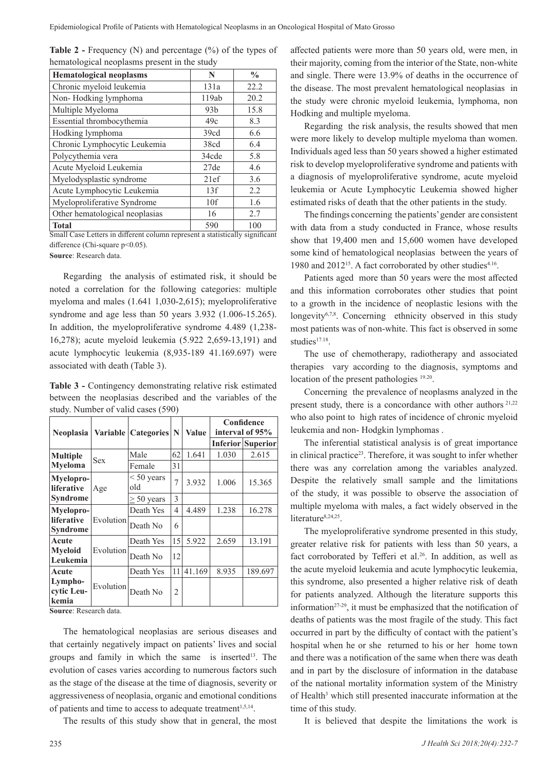| <b>Table 2 - Frequency (N) and percentage <math>(\%)</math> of the types of</b> |  |
|---------------------------------------------------------------------------------|--|
| hematological neoplasms present in the study                                    |  |

| <b>Hematological neoplasms</b> | N               | $\frac{0}{0}$ |
|--------------------------------|-----------------|---------------|
| Chronic myeloid leukemia       | 131a            | 22.2          |
| Non-Hodking lymphoma           | 119ab           | 20.2          |
| Multiple Myeloma               | 93 <sub>b</sub> | 15.8          |
| Essential thrombocythemia      | 49c             | 8.3           |
| Hodking lymphoma               | 39cd            | 6.6           |
| Chronic Lymphocytic Leukemia   | 38cd            | 6.4           |
| Polycythemia vera              | 34cde           | 5.8           |
| Acute Myeloid Leukemia         | 27de            | 4.6           |
| Myelodysplastic syndrome       | 21ef            | 3.6           |
| Acute Lymphocytic Leukemia     | 13f             | 2.2           |
| Myeloproliferative Syndrome    | 10f             | 1.6           |
| Other hematological neoplasias | 16              | 2.7           |
| <b>Total</b>                   | 590             | 100           |

Small Case Letters in different column represent a statistically significant difference (Chi-square p<0.05).

**Source**: Research data.

Regarding the analysis of estimated risk, it should be noted a correlation for the following categories: multiple myeloma and males (1.641 1,030-2,615); myeloproliferative syndrome and age less than 50 years 3.932 (1.006-15.265). In addition, the myeloproliferative syndrome 4.489 (1,238- 16,278); acute myeloid leukemia (5.922 2,659-13,191) and acute lymphocytic leukemia (8,935-189 41.169.697) were associated with death (Table 3).

Table 3 - Contingency demonstrating relative risk estimated between the neoplasias described and the variables of the study. Number of valid cases (590)

| Neoplasia                            | Variable   | <b>Categories</b>   | N  | <b>Value</b> | Confidence<br>interval of 95% |                          |
|--------------------------------------|------------|---------------------|----|--------------|-------------------------------|--------------------------|
|                                      |            |                     |    |              |                               | <b>Inferior Superior</b> |
| <b>Multiple</b>                      | <b>Sex</b> | Male                | 62 | 1.641        | 1.030                         | 2.615                    |
| Myeloma                              |            | Female              | 31 |              |                               |                          |
| Myelopro-<br>liferative              | Age        | $< 50$ years<br>old | 7  | 3.932        | 1.006                         | 15.365                   |
| <b>Syndrome</b>                      |            | $\geq 50$ years     | 3  |              |                               |                          |
| Myelopro-                            | Evolution  | Death Yes           | 4  | 4.489        | 1.238                         | 16.278                   |
| <b>liferative</b><br><b>Syndrome</b> |            | Death No            | 6  |              |                               |                          |
| Acute                                | Evolution  | Death Yes           | 15 | 5.922        | 2.659                         | 13.191                   |
| <b>M</b> veloid<br>Leukemia          |            | Death No            | 12 |              |                               |                          |
| Acute                                | Evolution  | Death Yes           | 11 | 41.169       | 8.935                         | 189.697                  |
| Lympho-<br>cytic Leu-<br>kemia       |            | Death No            | 2  |              |                               |                          |

**Source**: Research data.

The hematological neoplasias are serious diseases and that certainly negatively impact on patients' lives and social groups and family in which the same is inserted<sup>13</sup>. The evolution of cases varies according to numerous factors such as the stage of the disease at the time of diagnosis, severity or aggressiveness of neoplasia, organic and emotional conditions of patients and time to access to adequate treatment<sup>1,5,14</sup>.

The results of this study show that in general, the most

affected patients were more than 50 years old, were men, in their majority, coming from the interior of the State, non-white and single. There were 13.9% of deaths in the occurrence of the disease. The most prevalent hematological neoplasias in the study were chronic myeloid leukemia, lymphoma, non Hodking and multiple myeloma.

Regarding the risk analysis, the results showed that men were more likely to develop multiple myeloma than women. Individuals aged less than 50 years showed a higher estimated risk to develop myeloproliferative syndrome and patients with a diagnosis of myeloproliferative syndrome, acute myeloid leukemia or Acute Lymphocytic Leukemia showed higher estimated risks of death that the other patients in the study.

The findings concerning the patients' gender are consistent with data from a study conducted in France, whose results show that 19,400 men and 15,600 women have developed some kind of hematological neoplasias between the years of 1980 and 2012<sup>15</sup>. A fact corroborated by other studies<sup>4.16</sup>.

Patients aged more than 50 years were the most affected and this information corroborates other studies that point to a growth in the incidence of neoplastic lesions with the longevity<sup>6,7,8</sup>. Concerning ethnicity observed in this study most patients was of non-white. This fact is observed in some studies<sup>17.18</sup>.

The use of chemotherapy, radiotherapy and associated therapies vary according to the diagnosis, symptoms and location of the present pathologies <sup>19.20</sup>.

Concerning the prevalence of neoplasms analyzed in the present study, there is a concordance with other authors <sup>21,22</sup> who also point to high rates of incidence of chronic myeloid leukemia and non- Hodgkin lymphomas .

The inferential statistical analysis is of great importance in clinical practice<sup>23</sup>. Therefore, it was sought to infer whether there was any correlation among the variables analyzed. Despite the relatively small sample and the limitations of the study, it was possible to observe the association of multiple myeloma with males, a fact widely observed in the literature<sup>8,24,25</sup>.

The myeloproliferative syndrome presented in this study, greater relative risk for patients with less than 50 years, a fact corroborated by Tefferi et al.<sup>26</sup>. In addition, as well as the acute myeloid leukemia and acute lymphocytic leukemia, this syndrome, also presented a higher relative risk of death for patients analyzed. Although the literature supports this information $27-29$ , it must be emphasized that the notification of deaths of patients was the most fragile of the study. This fact occurred in part by the difficulty of contact with the patient's hospital when he or she returned to his or her home town and there was a notification of the same when there was death and in part by the disclosure of information in the database of the national mortality information system of the Ministry of Health<sup>3</sup> which still presented inaccurate information at the time of this study.

It is believed that despite the limitations the work is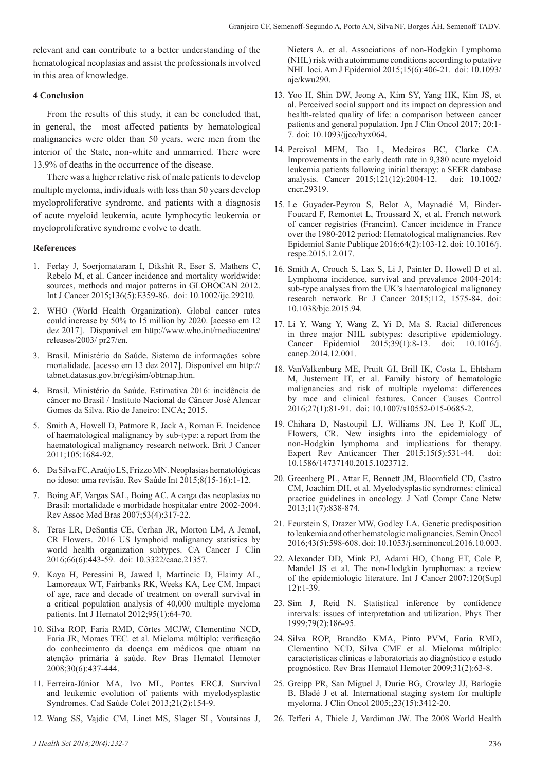relevant and can contribute to a better understanding of the hematological neoplasias and assist the professionals involved in this area of knowledge.

### **4 Conclusion**

From the results of this study, it can be concluded that, in general, the most affected patients by hematological malignancies were older than 50 years, were men from the interior of the State, non-white and unmarried. There were 13.9% of deaths in the occurrence of the disease.

There was a higher relative risk of male patients to develop multiple myeloma, individuals with less than 50 years develop myeloproliferative syndrome, and patients with a diagnosis of acute myeloid leukemia, acute lymphocytic leukemia or myeloproliferative syndrome evolve to death.

### **References**

- 1. Ferlay J, Soerjomataram I, Dikshit R, Eser S, Mathers C, Rebelo M, et al. Cancer incidence and mortality worldwide: sources, methods and major patterns in GLOBOCAN 2012. Int J Cancer 2015;136(5):E359-86. doi: 10.1002/ijc.29210.
- 2. WHO (World Health Organization). Global cancer rates could increase by 50% to 15 million by 2020. [acesso em 12 dez 2017]. Disponível em http://www.who.int/mediacentre/ releases/2003/ pr27/en.
- 3. Brasil. Ministério da Saúde. Sistema de informações sobre mortalidade. [acesso em 13 dez 2017]. Disponível em http:// tabnet.datasus.gov.br/cgi/sim/obtmap.htm.
- 4. Brasil. Ministério da Saúde. Estimativa 2016: incidência de câncer no Brasil / Instituto Nacional de Câncer José Alencar Gomes da Silva. Rio de Janeiro: INCA; 2015.
- 5. Smith A, Howell D, Patmore R, Jack A, Roman E. Incidence of haematological malignancy by sub-type: a report from the haematological malignancy research network. Brit J Cancer 2011;105:1684-92.
- 6. Da Silva FC, Araújo LS, Frizzo MN. Neoplasias hematológicas no idoso: uma revisão. Rev Saúde Int 2015;8(15-16):1-12.
- 7. Boing AF, Vargas SAL, Boing AC. A carga das neoplasias no Brasil: mortalidade e morbidade hospitalar entre 2002-2004. Rev Assoc Med Bras 2007;53(4):317-22.
- 8. Teras LR, DeSantis CE, Cerhan JR, Morton LM, A Jemal, CR Flowers. 2016 US lymphoid malignancy statistics by world health organization subtypes. CA Cancer J Clin 2016;66(6):443-59. doi: 10.3322/caac.21357.
- 9. Kaya H, Peressini B, Jawed I, Martincic D, Elaimy AL, Lamoreaux WT, Fairbanks RK, Weeks KA, Lee CM. Impact of age, race and decade of treatment on overall survival in a critical population analysis of 40,000 multiple myeloma patients. Int J Hematol 2012;95(1):64-70.
- 10. Silva ROP, Faria RMD, Côrtes MCJW, Clementino NCD, Faria JR, Moraes TEC. et al. Mieloma múltiplo: verificação do conhecimento da doença em médicos que atuam na atenção primária à saúde. Rev Bras Hematol Hemoter 2008;30(6):437-444.
- 11. Ferreira-Júnior MA, Ivo ML, Pontes ERCJ. Survival and leukemic evolution of patients with myelodysplastic Syndromes. Cad Saúde Colet 2013;21(2):154-9.
- 12. Wang SS, Vajdic CM, Linet MS, Slager SL, Voutsinas J,

13. Yoo H, Shin DW, Jeong A, Kim SY, Yang HK, Kim JS, et al. Perceived social support and its impact on depression and health-related quality of life: a comparison between cancer patients and general population. Jpn J Clin Oncol 2017; 20:1- 7. doi: 10.1093/jjco/hyx064.

Nieters A. et al. Associations of non-Hodgkin Lymphoma

- 14. Percival MEM, Tao L, Medeiros BC, Clarke CA. Improvements in the early death rate in 9,380 acute myeloid leukemia patients following initial therapy: a SEER database analysis. Cancer 2015;121(12):2004-12. doi: 10.1002/ cncr.29319.
- 15. Le Guyader-Peyrou S, Belot A, Maynadié M, Binder-Foucard F, Remontet L, Troussard X, et al. French network of cancer registries (Francim). Cancer incidence in France over the 1980-2012 period: Hematological malignancies. Rev Epidemiol Sante Publique 2016;64(2):103-12. doi: 10.1016/j. respe.2015.12.017.
- 16. Smith A, Crouch S, Lax S, Li J, Painter D, Howell D et al. Lymphoma incidence, survival and prevalence 2004-2014: sub-type analyses from the UK's haematological malignancy research network. Br J Cancer 2015;112, 1575-84. doi: 10.1038/bjc.2015.94.
- 17. Li Y, Wang Y, Wang Z, Yi D, Ma S. Racial differences in three major NHL subtypes: descriptive epidemiology. Cancer Epidemiol 2015;39(1):8-13. doi: 10.1016/j. canep.2014.12.001.
- 18. VanValkenburg ME, Pruitt GI, Brill IK, Costa L, Ehtsham M, Justement IT, et al. Family history of hematologic malignancies and risk of multiple myeloma: differences by race and clinical features. Cancer Causes Control 2016;27(1):81-91. doi: 10.1007/s10552-015-0685-2.
- 19. Chihara D, Nastoupil LJ, Williams JN, Lee P, Koff JL, Flowers, CR. New insights into the epidemiology of non-Hodgkin lymphoma and implications for therapy. Expert Rev Anticancer Ther 2015;15(5):531-44. doi: 10.1586/14737140.2015.1023712.
- 20. Greenberg PL, Attar E, Bennett JM, Bloomfield CD, Castro CM, Joachim DH, et al. Myelodysplastic syndromes: clinical practice guidelines in oncology. J Natl Compr Canc Netw 2013;11(7):838-874.
- 21. Feurstein S, Drazer MW, Godley LA. Genetic predisposition to leukemia and other hematologic malignancies. Semin Oncol 2016;43(5):598-608. doi: 10.1053/j.seminoncol.2016.10.003.
- 22. Alexander DD, Mink PJ, Adami HO, Chang ET, Cole P, Mandel JS et al. The non-Hodgkin lymphomas: a review of the epidemiologic literature. Int J Cancer 2007;120(Supl 12):1-39.
- 23. Sim J, Reid N. Statistical inference by confidence intervals: issues of interpretation and utilization. Phys Ther 1999;79(2):186-95.
- 24. Silva ROP, Brandão KMA, Pinto PVM, Faria RMD, Clementino NCD, Silva CMF et al. Mieloma múltiplo: características clínicas e laboratoriais ao diagnóstico e estudo prognóstico. Rev Bras Hematol Hemoter 2009;31(2):63-8.
- 25. Greipp PR, San Miguel J, Durie BG, Crowley JJ, Barlogie B, Bladé J et al. International staging system for multiple myeloma. J Clin Oncol 2005;;23(15):3412-20.
- 26. Tefferi A, Thiele J, Vardiman JW. The 2008 World Health